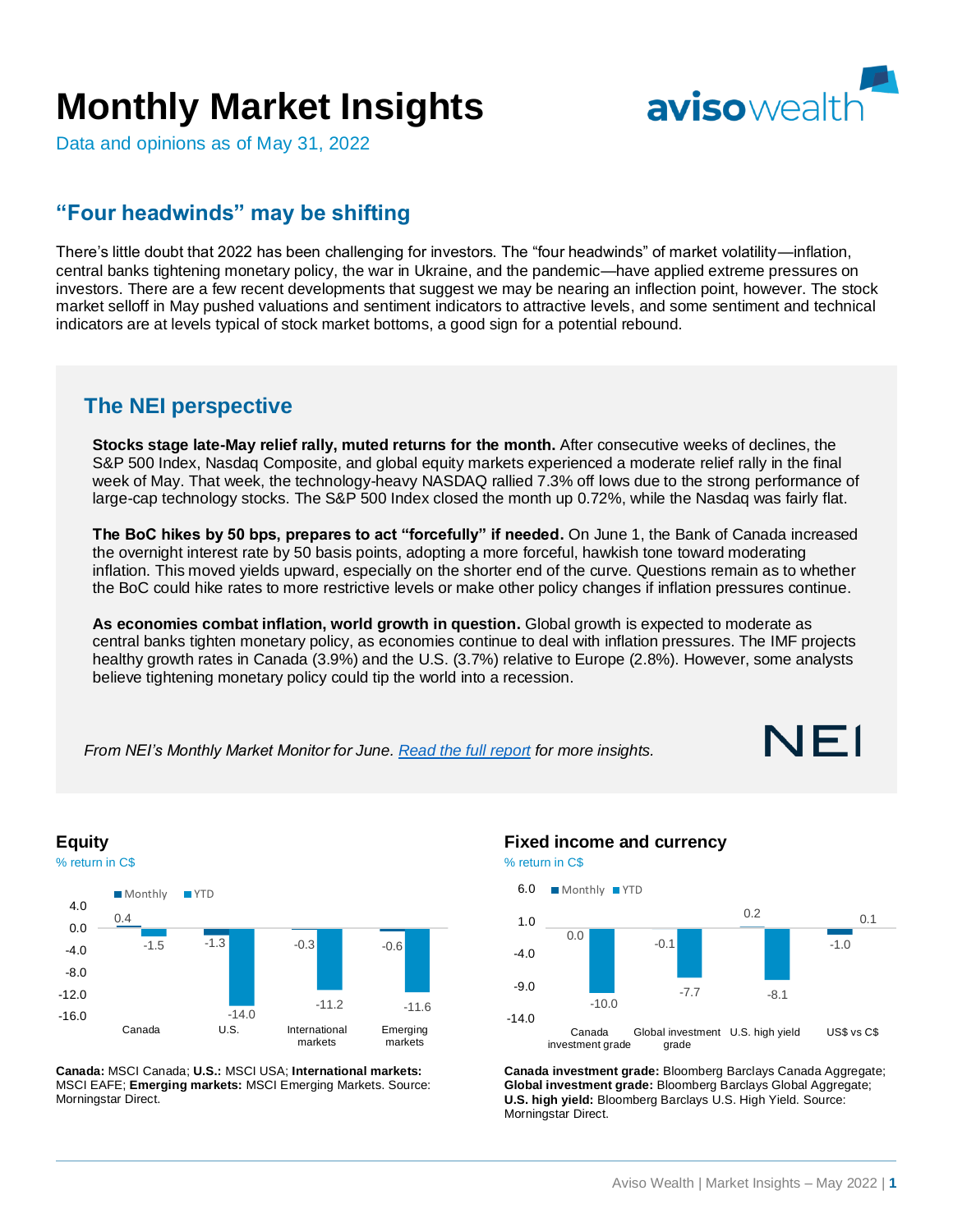# **Monthly Market Insights**



Data and opinions as of May 31, 2022

## **"Four headwinds" may be shifting**

There's little doubt that 2022 has been challenging for investors. The "four headwinds" of market volatility—inflation, central banks tightening monetary policy, the war in Ukraine, and the pandemic—have applied extreme pressures on investors. There are a few recent developments that suggest we may be nearing an inflection point, however. The stock market selloff in May pushed valuations and sentiment indicators to attractive levels, and some sentiment and technical indicators are at levels typical of stock market bottoms, a good sign for a potential rebound.

### **The NEI perspective**

**Stocks stage late-May relief rally, muted returns for the month.** After consecutive weeks of declines, the S&P 500 Index, Nasdaq Composite, and global equity markets experienced a moderate relief rally in the final week of May. That week, the technology-heavy NASDAQ rallied 7.3% off lows due to the strong performance of large-cap technology stocks. The S&P 500 Index closed the month up 0.72%, while the Nasdaq was fairly flat.

**The BoC hikes by 50 bps, prepares to act "forcefully" if needed.** On June 1, the Bank of Canada increased the overnight interest rate by 50 basis points, adopting a more forceful, hawkish tone toward moderating inflation. This moved yields upward, especially on the shorter end of the curve. Questions remain as to whether the BoC could hike rates to more restrictive levels or make other policy changes if inflation pressures continue.

**As economies combat inflation, world growth in question.** Global growth is expected to moderate as central banks tighten monetary policy, as economies continue to deal with inflation pressures. The IMF projects healthy growth rates in Canada (3.9%) and the U.S. (3.7%) relative to Europe (2.8%). However, some analysts believe tightening monetary policy could tip the world into a recession.

*From NEI's Monthly Market Monitor for June[. Read the full](https://email.neiinvestments.com/l/405502/2022-06-08/c3ljrz/405502/1654698016Pi8eIdFO/NEI_Monthly_Market_Monitor_2022_06_FIN_ENG.pdf) report for more insights.*







**Canada:** MSCI Canada; **U.S.:** MSCI USA; **International markets:** MSCI EAFE; **Emerging markets:** MSCI Emerging Markets. Source: Morningstar Direct.

#### **Fixed income and currency**





**Canada investment grade:** Bloomberg Barclays Canada Aggregate; **Global investment grade:** Bloomberg Barclays Global Aggregate; **U.S. high yield:** Bloomberg Barclays U.S. High Yield. Source: Morningstar Direct.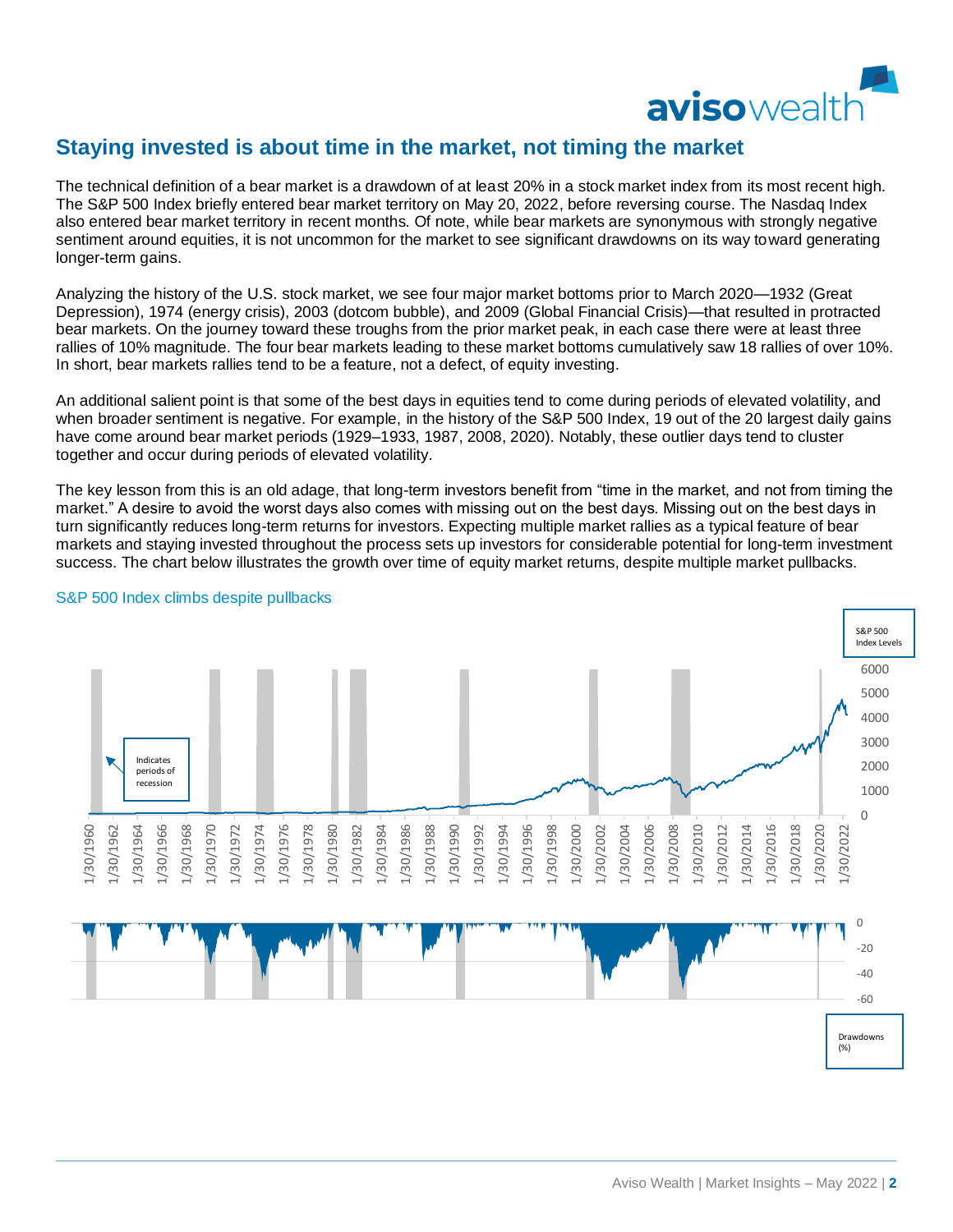

## **Staying invested is about time in the market, not timing the market**

The technical definition of a bear market is a drawdown of at least 20% in a stock market index from its most recent high. The S&P 500 Index briefly entered bear market territory on May 20, 2022, before reversing course. The Nasdaq Index also entered bear market territory in recent months. Of note, while bear markets are synonymous with strongly negative sentiment around equities, it is not uncommon for the market to see significant drawdowns on its way toward generating longer-term gains.

Analyzing the history of the U.S. stock market, we see four major market bottoms prior to March 2020—1932 (Great Depression), 1974 (energy crisis), 2003 (dotcom bubble), and 2009 (Global Financial Crisis)—that resulted in protracted bear markets. On the journey toward these troughs from the prior market peak, in each case there were at least three rallies of 10% magnitude. The four bear markets leading to these market bottoms cumulatively saw 18 rallies of over 10%. In short, bear markets rallies tend to be a feature, not a defect, of equity investing.

An additional salient point is that some of the best days in equities tend to come during periods of elevated volatility, and when broader sentiment is negative. For example, in the history of the S&P 500 Index, 19 out of the 20 largest daily gains have come around bear market periods (1929–1933, 1987, 2008, 2020). Notably, these outlier days tend to cluster together and occur during periods of elevated volatility.

The key lesson from this is an old adage, that long-term investors benefit from "time in the market, and not from timing the market." A desire to avoid the worst days also comes with missing out on the best days. Missing out on the best days in turn significantly reduces long-term returns for investors. Expecting multiple market rallies as a typical feature of bear markets and staying invested throughout the process sets up investors for considerable potential for long-term investment success. The chart below illustrates the growth over time of equity market returns, despite multiple market pullbacks.



#### S&P 500 Index climbs despite pullbacks